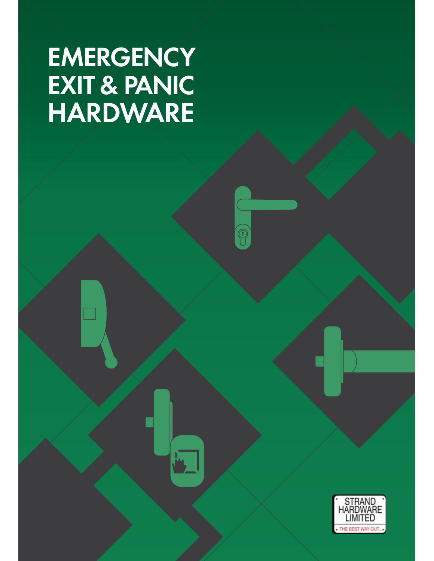# **EMERGENCY EXIT & PANIC HARDWARE**

 $\Box$ 

 $\widehat{\circledcirc}$ 

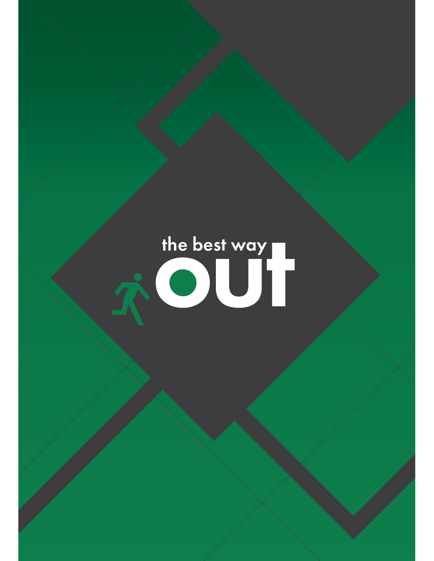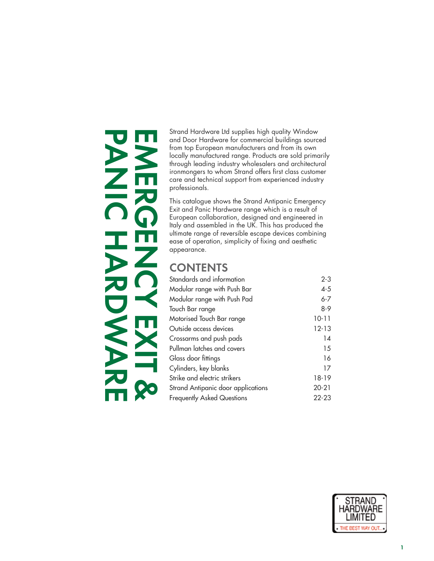# **PANIC HARDWRE EMERGENCY EXIT &**  D

Strand Hardware Ltd supplies high quality Window and Door Hardware for commercial buildings sourced from top European manufacturers and from its own locally manufactured range. Products are sold primarily through leading industry wholesalers and architectural ironmongers to whom Strand offers first class customer care and technical support from experienced industry professionals.

This catalogue shows the Strand Antipanic Emergency Exit and Panic Hardware range which is a result of European collaboration, designed and engineered in Italy and assembled in the UK. This has produced the ultimate range of reversible escape devices combining ease of operation, simplicity of fixing and aesthetic appearance.

## **CONTENTS**

| Standards and information          | $2 - 3$   |
|------------------------------------|-----------|
| Modular range with Push Bar        | $4 - 5$   |
| Modular range with Push Pad        | $6 - 7$   |
| Touch Bar range                    | $8 - 9$   |
| Motorised Touch Bar range          | $10 - 11$ |
| Outside access devices             | $12 - 13$ |
| Crossarms and push pads            | 14        |
| Pullman latches and covers         | 15        |
| Glass door fittings                | 16        |
| Cylinders, key blanks              | 17        |
| Strike and electric strikers       | 18-19     |
| Strand Antipanic door applications | $20 - 21$ |
| Frequently Asked Questions         | $22 - 23$ |
|                                    |           |

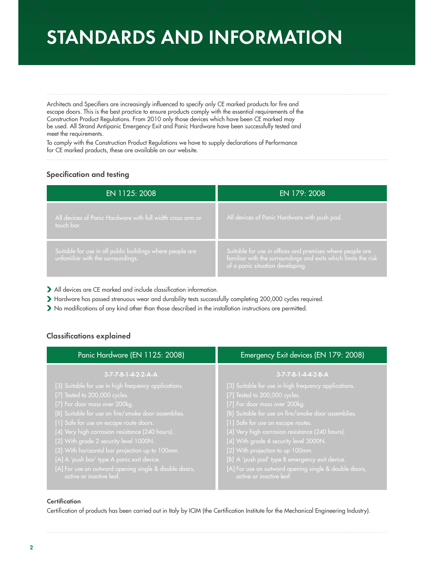# **STANDARDS AND INFORMATION**

Architects and Specifiers are increasingly influenced to specify only CE marked products for fire and escape doors. This is the best practice to ensure products comply with the essential requirements of the Construction Product Regulations. From 2010 only those devices which have been CE marked may be used. All Strand Antipanic Emergency Exit and Panic Hardware have been successfully tested and meet the requirements.

To comply with the Construction Product Regulations we have to supply declarations of Performance for CE marked products, these are available on our website.

## **Specification and testing**

| EN 1125: 2008                                                                                  | EN 179: 2008                                                                                                                                                    |
|------------------------------------------------------------------------------------------------|-----------------------------------------------------------------------------------------------------------------------------------------------------------------|
| All devices of Panic Hardware with full width cross arm or<br>touch bar.                       | All devices of Panic Hardware with push pad.                                                                                                                    |
| Suitable for use in all public buildings where people are<br>unfamiliar with the surroundings. | Suitable for use in offices and premises where people are<br>familiar with the surroundings and exits which limits the risk<br>of a panic situation developing. |

All devices are CE marked and include classification information.

Hardware has passed strenuous wear and durability tests successfully completing 200,000 cycles required.

No modifications of any kind other than those described in the installation instructions are permitted.

## **Classifications explained**

| Panic Hardware (EN 1125: 2008)                                                                                                                                                                                                                                                                                                                                                                                                                                                  | Emergency Exit devices (EN 179: 2008)                                                                                                                                                                                                                                                                                                                                                                                                                           |
|---------------------------------------------------------------------------------------------------------------------------------------------------------------------------------------------------------------------------------------------------------------------------------------------------------------------------------------------------------------------------------------------------------------------------------------------------------------------------------|-----------------------------------------------------------------------------------------------------------------------------------------------------------------------------------------------------------------------------------------------------------------------------------------------------------------------------------------------------------------------------------------------------------------------------------------------------------------|
| 3-7-7-B-1-4-2-2-A-A                                                                                                                                                                                                                                                                                                                                                                                                                                                             | 3-7-7-B-1-4-4-2-B-A                                                                                                                                                                                                                                                                                                                                                                                                                                             |
| [3] Suitable for use in high frequency applications.<br>[7] Tested to 200,000 cycles.<br>[7] For door mass over 200kg.<br>[B] Suitable for use on fire/smoke door assemblies.<br>[1] Safe for use on escape route doors.<br>[4] Very high corrosion resistance (240 hours).<br>[2] With grade 2 security level 1000N.<br>[2] With horizontal bar projection up to 100mm.<br>[A] A 'push bar' type A panic exit device.<br>[A] For use on outward opening single & double doors, | [3] Suitable for use in high frequency applications.<br>[7] Tested to 200,000 cycles.<br>[7] For door mass over 200kg.<br>[B] Suitable for use on fire/smoke door assemblies.<br>[1] Safe for use on escape routes.<br>[4] Very high corrosion resistance (240 hours).<br>[4] With grade 4 security level 3000N.<br>[2] With projection to up 100mm.<br>[B] A 'push pad' type B emergency exit device.<br>[A] For use on outward opening single & double doors, |

#### **Certification**

Certification of products has been carried out in Italy by ICIM (the Certification Institute for the Mechanical Engineering Industry).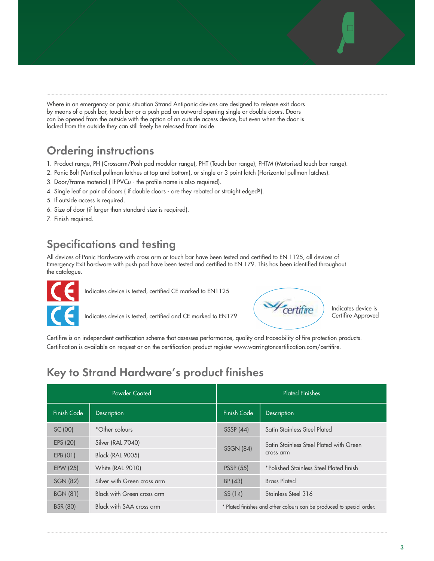Where in an emergency or panic situation Strand Antipanic devices are designed to release exit doors by means of a push bar, touch bar or a push pad on outward opening single or double doors. Doors can be opened from the outside with the option of an outside access device, but even when the door is locked from the outside they can still freely be released from inside.

## **Ordering instructions**

- 1. Product range, PH (Crossarm/Push pad modular range), PHT (Touch bar range), PHTM (Motorised touch bar range).
- 2. Panic Bolt (Vertical pullman latches at top and bottom), or single or 3 point latch (Horizontal pullman latches).
- 3. Door/frame material ( If PVCu the profile name is also required).
- 4. Single leaf or pair of doors ( if double doors are they rebated or straight edged?).
- 5. If outside access is required.
- 6. Size of door (if larger than standard size is required).
- 7. Finish required.

## **Specifications and testing**

All devices of Panic Hardware with cross arm or touch bar have been tested and certified to EN 1125, all devices of Emergency Exit hardware with push pad have been tested and certified to EN 179. This has been identified throughout the catalogue.



Indicates device is tested, certified CE marked to EN1125

Indicates device is tested, certified and CE marked to EN179



Indicates device is Certifire Approved

Certifire is an independent certification scheme that assesses performance, quality and traceability of fire protection products. Certification is available on request or on the certification product register www.warringtoncertification.com/certifire.

## **Key to Strand Hardware's product finishes**

|                    | <b>Plated Finishes</b><br>Powder Coated |                                                                       |                                         |
|--------------------|-----------------------------------------|-----------------------------------------------------------------------|-----------------------------------------|
| <b>Finish Code</b> | Description                             | Finish Code                                                           | Description                             |
| SC (00)            | *Other colours                          | <b>SSSP (44)</b>                                                      | Satin Stainless Steel Plated            |
| EPS (20)           | Silver (RAL 7040)                       | <b>SSGN (84)</b>                                                      | Satin Stainless Steel Plated with Green |
| EPB (01)           | <b>Black (RAL 9005)</b>                 |                                                                       | cross arm                               |
| EPW (25)           | White (RAL 9010)                        | <b>PSSP (55)</b>                                                      | *Polished Stainless Steel Plated finish |
| <b>SGN (82)</b>    | Silver with Green cross arm             | BP (43)                                                               | <b>Brass Plated</b>                     |
| <b>BGN (81)</b>    | <b>Black with Green cross arm</b>       | SS (14)                                                               | Stainless Steel 316                     |
| <b>BSR (80)</b>    | Black with SAA cross arm                | * Plated finishes and other colours can be produced to special order. |                                         |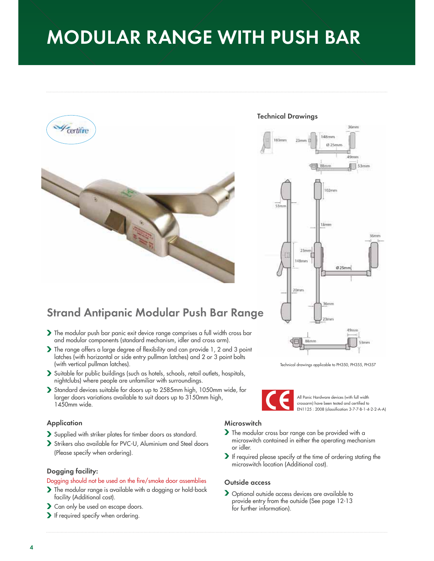# **MODULAR RANGE WITH PUSH BAR**







Technical drawings applicable to PH350, PH355, PH357

All Panic Hardware devices (with full width crossarm) have been tested and certified to EN1125 : 2008 (classification 3-7-7-B-1-4-2-2-A-A)

## **Strand Antipanic Modular Push Bar Range**

- The modular push bar panic exit device range comprises a full width cross bar and modular components (standard mechanism, idler and cross arm).
- The range offers a large degree of flexibility and can provide 1, 2 and 3 point latches (with horizontal or side entry pullman latches) and 2 or 3 point bolts (with vertical pullman latches).
- Suitable for public buildings (such as hotels, schools, retail outlets, hospitals, nightclubs) where people are unfamiliar with surroundings.
- Standard devices suitable for doors up to 2585mm high, 1050mm wide, for larger doors variations available to suit doors up to 3150mm high, 1450mm wide.

#### **Application**

- Supplied with striker plates for timber doors as standard.
- Strikers also available for PVC-U, Aluminium and Steel doors (Please specify when ordering).

#### **Dogging facility:**

#### Dogging should not be used on the fire/smoke door assemblies

- The modular range is available with a dogging or hold-back facility (Additional cost).
- Can only be used on escape doors.
- If required specify when ordering.

## **Microswitch**

- If the modular cross bar range can be provided with a microswitch contained in either the operating mechanism or idler.
- If required please specify at the time of ordering stating the microswitch location (Additional cost).

#### **Outside access**

> Optional outside access devices are available to provide entry from the outside (See page 12-13 for further information).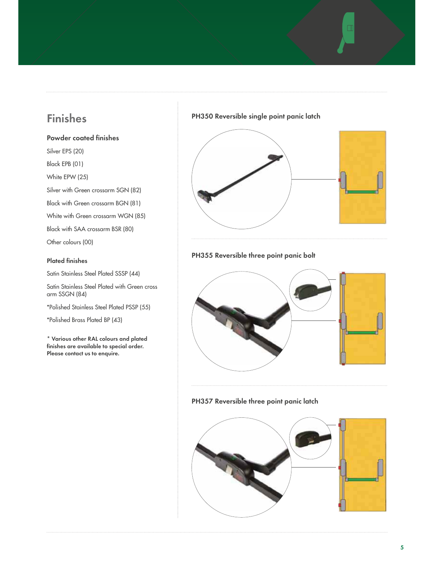## **Finishes**

## **Powder coated finishes**

Silver EPS (20) Black EPB (01)

White EPW (25)

Silver with Green crossarm SGN (82)

Black with Green crossarm BGN (81)

White with Green crossarm WGN (85)

Black with SAA crossarm BSR (80)

Other colours (00)

## **Plated finishes**

Satin Stainless Steel Plated SSSP (44)

Satin Stainless Steel Plated with Green cross arm SSGN (84)

\*Polished Stainless Steel Plated PSSP (55)

\*Polished Brass Plated BP (43)

**\* Various other RAL colours and plated finishes are available to special order. Please contact us to enquire.**

## **PH350 Reversible single point panic latch**



## **PH355 Reversible three point panic bolt**



## **PH357 Reversible three point panic latch**

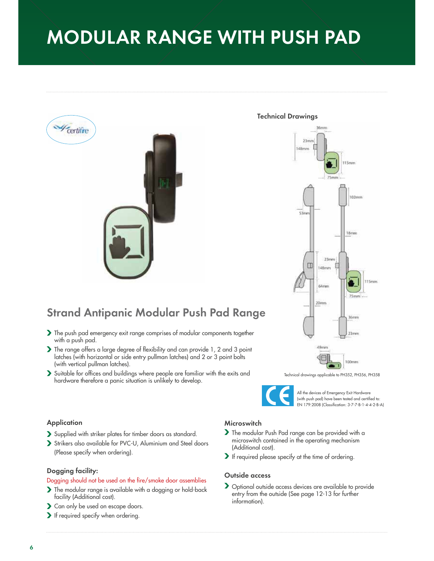# **MODULAR RANGE WITH PUSH PAD**



## **Strand Antipanic Modular Push Pad Range**

- The push pad emergency exit range comprises of modular components together with a push pad.
- The range offers a large degree of flexibility and can provide 1, 2 and 3 point latches (with horizontal or side entry pullman latches) and 2 or 3 point bolts (with vertical pullman latches).
- Suitable for offices and buildings where people are familiar with the exits and hardware therefore a panic situation is unlikely to develop.

#### **Technical Drawings**



Technical drawings applicable to PH352, PH356, PH358



All the devices of Emergency Exit Hardware (with push pad) have been tested and certified to: EN 179:2008 (Classification: 3-7-7-B-1-4-4-2-B-A)

#### **Application**

- Supplied with striker plates for timber doors as standard.
- Strikers also available for PVC-U, Aluminium and Steel doors (Please specify when ordering).

#### **Dogging facility:**

#### Dogging should not be used on the fire/smoke door assemblies

- The modular range is available with a dogging or hold-back facility (Additional cost).
- > Can only be used on escape doors.
- If required specify when ordering.

#### **Microswitch**

- The modular Push Pad range can be provided with a microswitch contained in the operating mechanism (Additional cost).
- If required please specify at the time of ordering.

#### **Outside access**

> Optional outside access devices are available to provide entry from the outside (See page 12-13 for further information).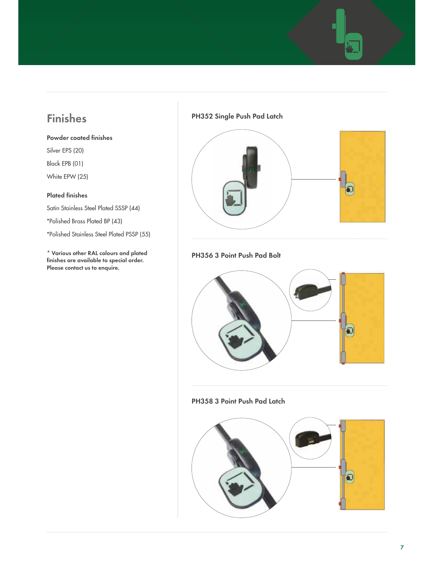## **Finishes**

- **Powder coated finishes**
- Silver EPS (20)
- Black EPB (01)
- White EPW (25)

## **Plated finishes**

Satin Stainless Steel Plated SSSP (44)

\*Polished Brass Plated BP (43)

\*Polished Stainless Steel Plated PSSP (55)

**\* Various other RAL colours and plated finishes are available to special order. Please contact us to enquire.**

## **PH352 Single Push Pad Latch**



## **PH356 3 Point Push Pad Bolt**



## **PH358 3 Point Push Pad Latch**

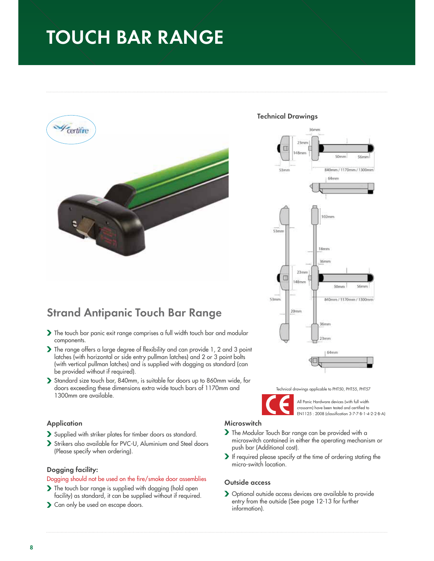# **TOUCH BAR RANGE**



#### **Technical Drawings**



Technical drawings applicable to PHT50, PHT55, PHT57

All Panic Hardware devices (with full width crossarm) have been tested and certified to EN1125 : 2008 (classification 3-7-7-B-1-4-2-2-B-A)

**Strand Antipanic Touch Bar Range**

- The touch bar panic exit range comprises a full width touch bar and modular components.
- The range offers a large degree of flexibility and can provide 1, 2 and 3 point latches (with horizontal or side entry pullman latches) and 2 or 3 point bolts (with vertical pullman latches) and is supplied with dogging as standard (can be provided without if required).
- Standard size touch bar, 840mm, is suitable for doors up to 860mm wide, for doors exceeding these dimensions extra wide touch bars of 1170mm and 1300mm are available.

#### **Application**

- Supplied with striker plates for timber doors as standard.
- Strikers also available for PVC-U, Aluminium and Steel doors (Please specify when ordering).

#### **Dogging facility:**

#### Dogging should not be used on the fire/smoke door assemblies

- The touch bar range is supplied with dogging (hold open facility) as standard, it can be supplied without if required.
- S Can only be used on escape doors.

## **Microswitch**

- The Modular Touch Bar range can be provided with a microswitch contained in either the operating mechanism or push bar (Additional cost).
- If required please specify at the time of ordering stating the micro-switch location.

#### **Outside access**

 Optional outside access devices are available to provide entry from the outside (See page 12-13 for further information).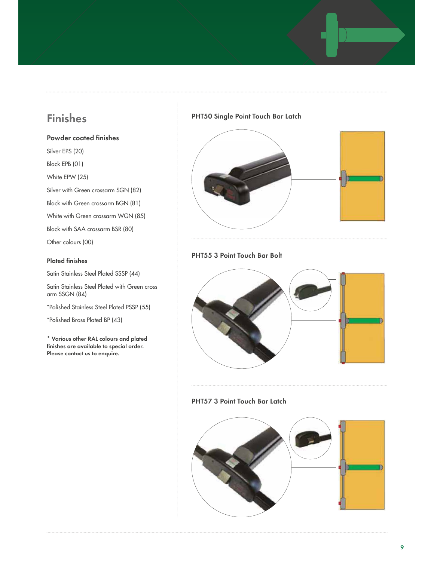## **Finishes**

## **Powder coated finishes**

Silver EPS (20) Black EPB (01) White EPW (25) Silver with Green crossarm SGN (82) Black with Green crossarm BGN (81) White with Green crossarm WGN (85)

Black with SAA crossarm BSR (80)

Other colours (00)

## **Plated finishes**

Satin Stainless Steel Plated SSSP (44)

Satin Stainless Steel Plated with Green cross arm SSGN (84)

\*Polished Stainless Steel Plated PSSP (55)

\*Polished Brass Plated BP (43)

**\* Various other RAL colours and plated finishes are available to special order. Please contact us to enquire.**

## **PHT50 Single Point Touch Bar Latch**



## **PHT55 3 Point Touch Bar Bolt**



## **PHT57 3 Point Touch Bar Latch**

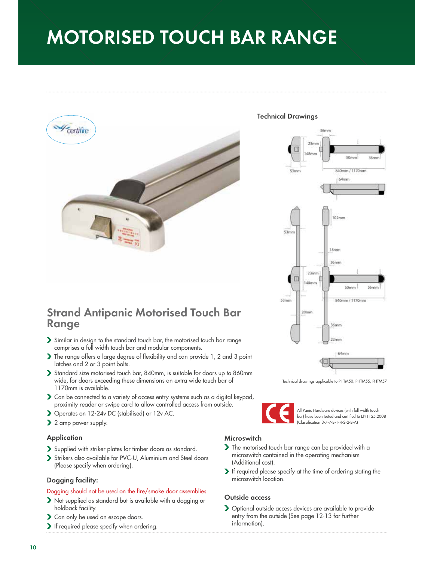# **MOTORISED TOUCH BAR RANGE**



## **Strand Antipanic Motorised Touch Bar Range**

- Similar in design to the standard touch bar, the motorised touch bar range comprises a full width touch bar and modular components.
- The range offers a large degree of flexibility and can provide 1, 2 and 3 point latches and 2 or 3 point bolts.
- Standard size motorised touch bar, 840mm, is suitable for doors up to 860mm wide, for doors exceeding these dimensions an extra wide touch bar of 1170mm is available.
- Can be connected to a variety of access entry systems such as a digital keypad, proximity reader or swipe card to allow controlled access from outside.
- Operates on 12-24v DC (stabilised) or 12v AC.
- 2 amp power supply.

#### **Application**

- Supplied with striker plates for timber doors as standard.
- Strikers also available for PVC-U, Aluminium and Steel doors (Please specify when ordering).

#### **Dogging facility:**

#### Dogging should not be used on the fire/smoke door assemblies

- Not supplied as standard but is available with a dogging or holdback facility.
- Can only be used on escape doors.
- If required please specify when ordering.

#### **Technical Drawings**



Technical drawings applicable to PHTM50, PHTM55, PHTM57



All Panic Hardware devices (with full width touch bar) have been tested and certified to EN1125:2008 (Classification 3-7-7-B-1-4-2-2-B-A)

#### **Microswitch**

- The motorised touch bar range can be provided with a microswitch contained in the operating mechanism (Additional cost).
- If required please specify at the time of ordering stating the microswitch location.

#### **Outside access**

 Optional outside access devices are available to provide entry from the outside (See page 12-13 for further information).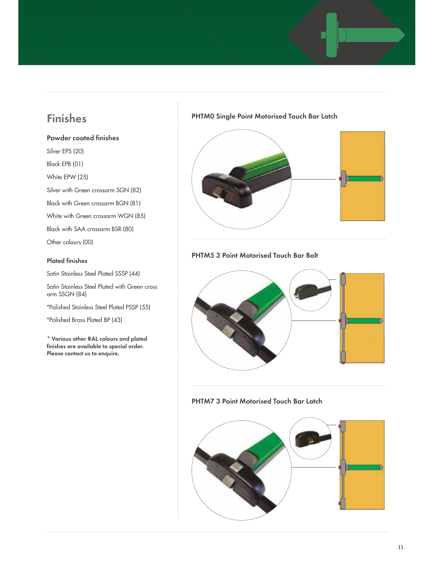## **Finishes**

## **Powder coated finishes**

Silver EPS (20) Black EPB (01)

White EPW (25)

Silver with Green crossarm SGN (82)

Black with Green crossarm BGN (81) White with Green crossarm WGN (85)

Black with SAA crossarm BSR (80)

Other colours (00)

#### **Plated finishes**

Satin Stainless Steel Plated SSSP (44)

Satin Stainless Steel Plated with Green cross arm SSGN (84)

\*Polished Stainless Steel Plated PSSP (55)

\*Polished Brass Plated BP (43)

**\* Various other RAL colours and plated finishes are available to special order. Please contact us to enquire.**

## **PHTM0 Single Point Motorised Touch Bar Latch**



## **PHTM5 3 Point Motorised Touch Bar Bolt**



## **PHTM7 3 Point Motorised Touch Bar Latch**

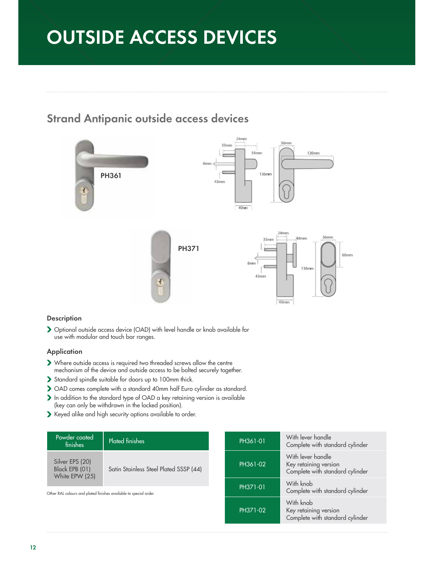# **OUTSIDE ACCESS DEVICES**

## **Strand Antipanic outside access devices**



## **Description**

 Optional outside access device (OAD) with level handle or knob available for use with modular and touch bar ranges.

## **Application**

- Where outside access is required two threaded screws allow the centre mechanism of the device and outside access to be bolted securely together.
- Standard spindle suitable for doors up to 100mm thick.
- OAD comes complete with a standard 40mm half Euro cylinder as standard.
- In addition to the standard type of OAD a key retaining version is available (key can only be withdrawn in the locked position).
- Keyed alike and high security options available to order.

| Powder coated<br>finishes                           | <b>Plated finishes</b>                                                       |  | PH361-01                                     | With lever handle<br>Complete with standard cylinder                          |
|-----------------------------------------------------|------------------------------------------------------------------------------|--|----------------------------------------------|-------------------------------------------------------------------------------|
| Silver EPS (20)<br>Black EPB (01)<br>White EPW (25) | Satin Stainless Steel Plated SSSP (44)                                       |  | PH361-02                                     | With lever handle<br>Key retaining version<br>Complete with standard cylinder |
|                                                     | PH371-01<br>Other RAL colours and plated finishes available to special order |  | With knob<br>Complete with standard cylinder |                                                                               |
|                                                     |                                                                              |  | PH371-02                                     | With knob<br>Key retaining version<br>Complete with standard cylinder         |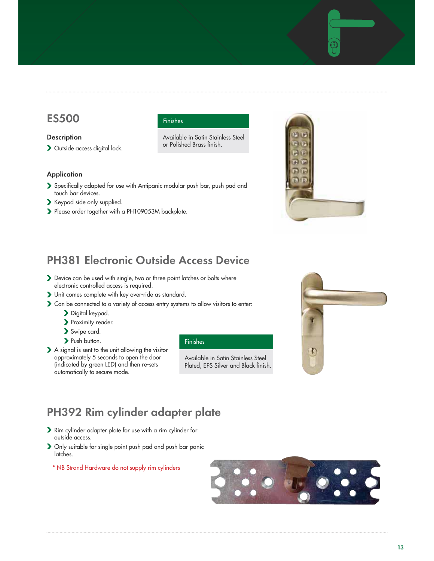## **ES500**

#### **Description**

Outside access digital lock.

#### **Application**

- Specifically adapted for use with Antipanic modular push bar, push pad and touch bar devices.
- Keypad side only supplied.
- Please order together with a PH109053M backplate.

#### Available in Satin Stainless Steel or Polished Brass finish.

Finishes

## **PH381 Electronic Outside Access Device**

- Device can be used with single, two or three point latches or bolts where electronic controlled access is required.
- Unit comes complete with key over-ride as standard.
- Can be connected to a variety of access entry systems to allow visitors to enter:
	- Digital keypad.
	- Proximity reader.
	- Swipe card.
	- > Push button.
- A signal is sent to the unit allowing the visitor approximately 5 seconds to open the door (indicated by green LED) and then re-sets automatically to secure mode.

#### Finishes

 Available in Satin Stainless Steel Plated, EPS Silver and Black finish.



## **PH392 Rim cylinder adapter plate**

- Rim cylinder adapter plate for use with a rim cylinder for outside access.
- Only suitable for single point push pad and push bar panic latches.

\* NB Strand Hardware do not supply rim cylinders

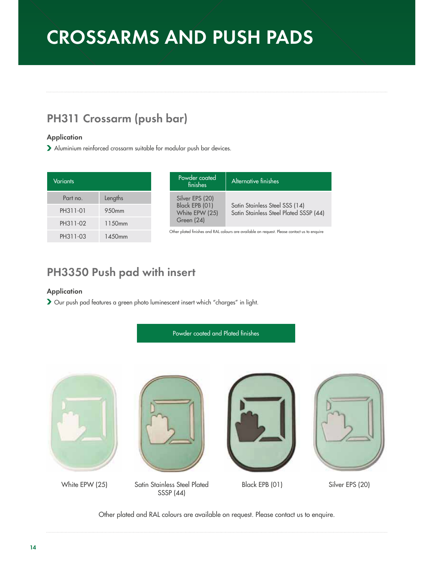# **CROSSARMS AND PUSH PADS**

## **PH311 Crossarm (push bar)**

## **Application**

Aluminium reinforced crossarm suitable for modular push bar devices.

| Variants |                    |
|----------|--------------------|
| Part no. | Lengths            |
| PH311-01 | 950mm              |
| PH311-02 | 1150 <sub>mm</sub> |
| PH311-03 | 1450mm             |

| Powder coated<br>finishes                                         | Alternative finishes                                                     |
|-------------------------------------------------------------------|--------------------------------------------------------------------------|
| Silver EPS (20)<br>Black EPB (01)<br>White EPW (25)<br>Green (24) | Satin Stainless Steel SSS (14)<br>Satin Stainless Steel Plated SSSP (44) |
|                                                                   |                                                                          |

Other plated finishes and RAL colours are available on request. Please contact us to enquire

## **PH3350 Push pad with insert**

## **Application**

Our push pad features a green photo luminescent insert which "charges" in light.



Other plated and RAL colours are available on request. Please contact us to enquire.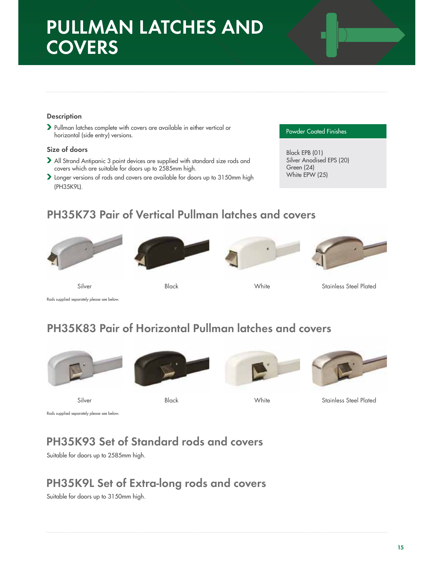## **PULLMAN LATCHES AND COVERS**

## **Description**

 Pullman latches complete with covers are available in either vertical or horizontal (side entry) versions.

## **Size of doors**

- All Strand Antipanic 3 point devices are supplied with standard size rods and covers which are suitable for doors up to 2585mm high.
- Longer versions of rods and covers are available for doors up to 3150mm high (PH35K9L).

#### Powder Coated Finishes

 Black EPB (01) Silver Anodised EPS (20) Green (24) White EPW (25)

## **PH35K73 Pair of Vertical Pullman latches and covers**









Silver White Black Stainless Steel Plated

Rods supplied separately please see below.

## **PH35K83 Pair of Horizontal Pullman latches and covers**











Silver White Black Stainless Steel Plated

Rods supplied separately please see below.

## **PH35K93 Set of Standard rods and covers**

Suitable for doors up to 2585mm high.

## **PH35K9L Set of Extra-long rods and covers**

Suitable for doors up to 3150mm high.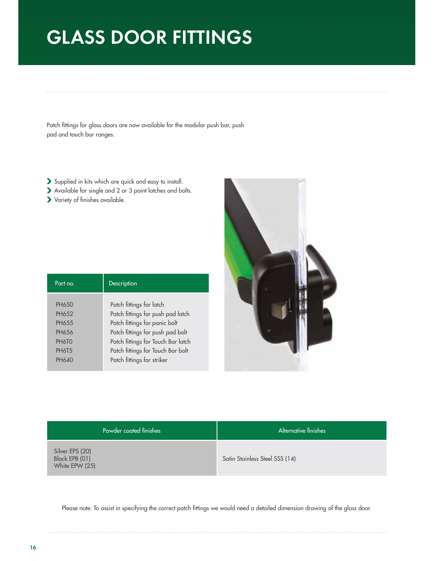# **GLASS DOOR FITTINGS**

Patch fittings for glass doors are now available for the modular push bar, push pad and touch bar ranges.

- Supplied in kits which are quick and easy to install.
- Available for single and 2 or 3 point latches and bolts.
- Variety of finishes available.

| Part no      | Description                        |
|--------------|------------------------------------|
|              |                                    |
| <b>PH650</b> | Patch fittings for latch           |
| PH652        | Patch fittings for push pad latch  |
| PH655        | Patch fittings for panic bolt      |
| <b>PH656</b> | Patch fittings for push pad bolt   |
| PH6TO        | Patch fittings for Touch Bar latch |
| <b>PH6T5</b> | Patch fittings for Touch Bar bolt  |
| <b>PH640</b> | Patch fittings for striker         |
|              |                                    |



| Powder coated finishes                              | Alternative finishes           |
|-----------------------------------------------------|--------------------------------|
| Silver EPS (20)<br>Black EPB (01)<br>White EPW (25) | Satin Stainless Steel SSS (14) |

Please note: To assist in specifying the correct patch fittings we would need a detailed dimension drawing of the glass door.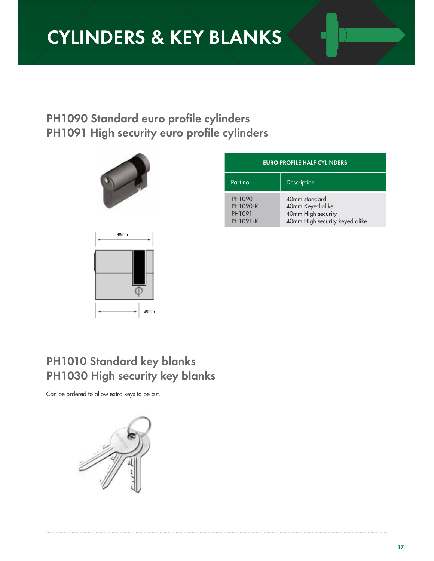# **CYLINDERS & KEY BLANKS**

## **PH1090 Standard euro profile cylinders PH1091 High security euro profile cylinders**





| <b>EURO-PROFILE HALF CYLINDERS</b>       |                                                                                           |  |
|------------------------------------------|-------------------------------------------------------------------------------------------|--|
| Part no.                                 | Description                                                                               |  |
| PH1090<br>PH1090-K<br>PH1091<br>PH1091-K | 40mm standard<br>40mm Keyed alike<br>40mm High security<br>40mm High security keyed alike |  |

## **PH1010 Standard key blanks PH1030 High security key blanks**

Can be ordered to allow extra keys to be cut.

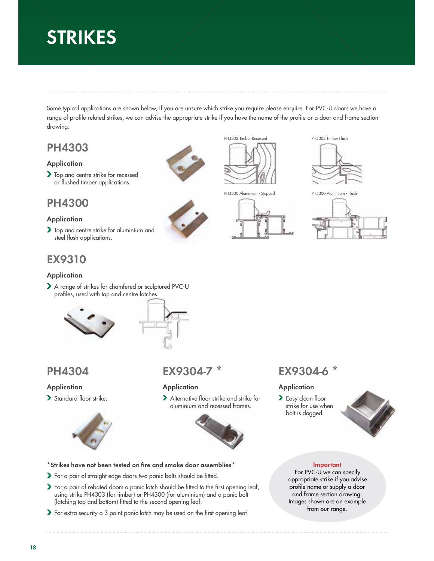# **STRIKES**

Some typical applications are shown below, if you are unsure which strike you require please enquire. For PVC-U doors we have a range of profile related strikes, we can advise the appropriate strike if you have the name of the profile or a door and frame section drawing.

## **PH4303**

## **Application**

> Top and centre strike for recessed or flushed timber applications.

## **PH4300**

## **Application**

Top and centre strike for aluminium and steel flush applications.

## **EX9310**

## **Application**

A range of strikes for chamfered or sculptured PVC-U profiles, used with top and centre latches.





## **PH4304**

## **Application**

> Standard floor strike.



## **EX9304-7 \***

## **Application**

> Alternative floor strike and strike for aluminium and recessed frames.



## **\*Strikes have not been tested on fire and smoke door assemblies\***

- For a pair of straight edge doors two panic bolts should be fitted.
- For a pair of rebated doors a panic latch should be fitted to the first opening leaf, using strike PH4303 (for timber) or PH4300 (for aluminium) and a panic bolt (latching top and bottom) fitted to the second opening leaf.
- For extra security a 3 point panic latch may be used on the first opening leaf.



PH4300 Aluminium - Stepped







PH4300 Aluminium - Flush



## **EX9304-6 \***

## **Application**

> Easy clean floor strike for use when bolt is dogged.



## **Important**

For PVC-U we can specify appropriate strike if you advise profile name or supply a door and frame section drawing. Images shown are an example from our range.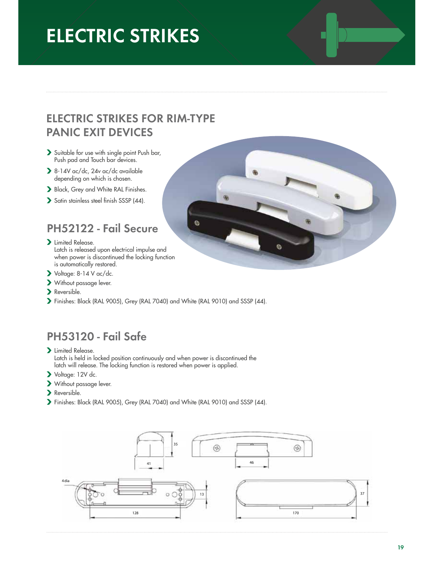# **ELECTRIC STRIKES**

## **ELECTRIC STRIKES FOR RIM-TYPE PANIC EXIT DEVICES**

- Suitable for use with single point Push bar, Push pad and Touch bar devices.
- 8-14V ac/dc, 24v ac/dc available depending on which is chosen.
- Black, Grey and White RAL Finishes.
- Satin stainless steel finish SSSP (44).

## **PH52122 - Fail Secure**

- > Limited Release. Latch is released upon electrical impulse and when power is discontinued the locking function is automatically restored.
- Voltage: 8-14 V ac/dc.
- Without passage lever.
- Reversible.
- Finishes: Black (RAL 9005), Grey (RAL 7040) and White (RAL 9010) and SSSP (44).

## **PH53120 - Fail Safe**

- > Limited Release. Latch is held in locked position continuously and when power is discontinued the latch will release. The locking function is restored when power is applied.
- Voltage: 12V dc.
- Without passage lever.
- Reversible.
- Finishes: Black (RAL 9005), Grey (RAL 7040) and White (RAL 9010) and SSSP (44).



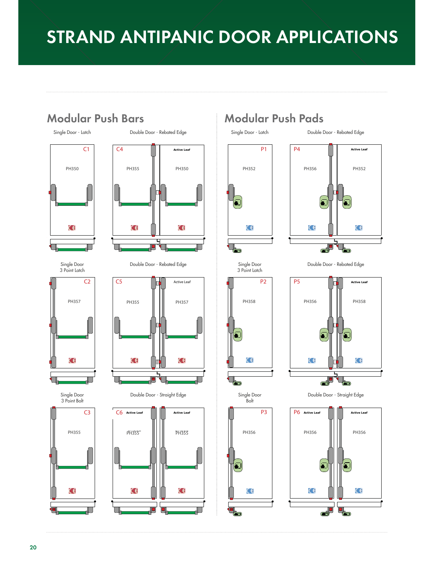# **STRAND ANTIPANIC DOOR APPLICATIONS**



Double Door - Rebated Edge





Single Door



**PH356** PH356

¢٤

 $\left| \rule{0pt}{10pt}\right.$ 

 $\blacksquare$ 

Single Door Bolt

**P3** P3



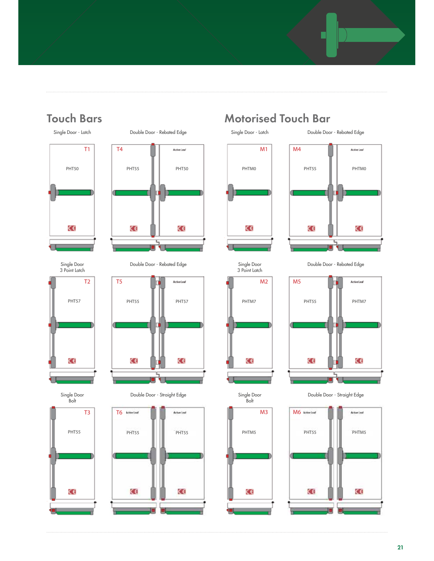



Single Door 3 Point Latch



Single Door Bolt

PHT55

C€

T3









## **Touch Bars Motorised Touch Bar**

Double Door - Rebated Edge





Single Door 3 Point Latch M2 PHTM7 C€

Single Door Bolt

PHTM5

C€

M3

Double Door - Rebated Edge Double Door - Rebated Edge



Double Door - Straight Edge **Straight Edge Edge Edge Straight Edge** Boor - Straight Edge Door - Straight Edge

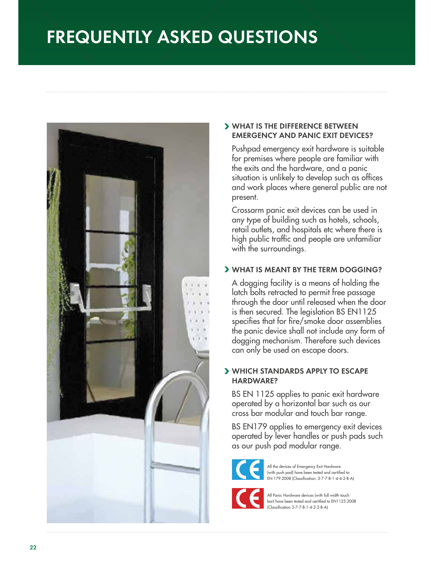# **FREQUENTLY ASKED QUESTIONS**



## **WHAT IS THE DIFFERENCE BETWEEN EMERGENCY AND PANIC EXIT DEVICES?**

Pushpad emergency exit hardware is suitable for premises where people are familiar with the exits and the hardware, and a panic situation is unlikely to develop such as offices and work places where general public are not present.

Crossarm panic exit devices can be used in any type of building such as hotels, schools, retail outlets, and hospitals etc where there is high public traffic and people are unfamiliar with the surroundings.

## **WHAT IS MEANT BY THE TERM DOGGING?**

A dogging facility is a means of holding the latch bolts retracted to permit free passage through the door until released when the door is then secured. The legislation BS EN1125 specifies that for fire/smoke door assemblies the panic device shall not include any form of dogging mechanism. Therefore such devices can only be used on escape doors.

## **WHICH STANDARDS APPLY TO ESCAPE HARDWARE?**

BS EN 1125 applies to panic exit hardware operated by a horizontal bar such as our cross bar modular and touch bar range.

BS EN179 applies to emergency exit devices operated by lever handles or push pads such as our push pad modular range.



All the devices of Emergency Exit Hardware (with push pad) have been tested and certified to: EN 179:2008 (Classification: 3-7-7-B-1-4-4-2-B-A)



All Panic Hardware devices (with full width touch bar) have been tested and certified to EN1125:2008 (Classification 3-7-7-B-1-4-2-2-B-A)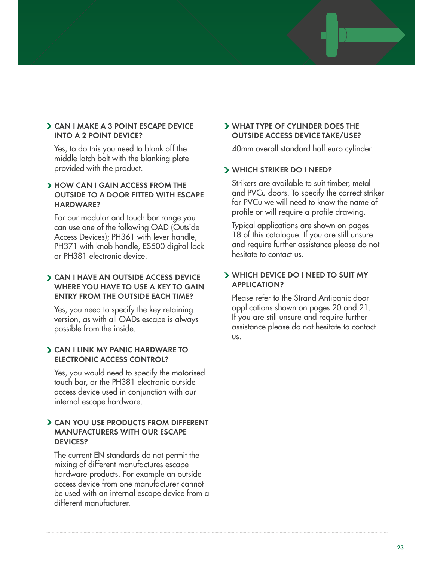## **CAN I MAKE A 3 POINT ESCAPE DEVICE INTO A 2 POINT DEVICE?**

Yes, to do this you need to blank off the middle latch bolt with the blanking plate provided with the product.

## **HOW CAN I GAIN ACCESS FROM THE OUTSIDE TO A DOOR FITTED WITH ESCAPE HARDWARE?**

For our modular and touch bar range you can use one of the following OAD (Outside Access Devices); PH361 with lever handle, PH371 with knob handle, ES500 digital lock or PH381 electronic device.

## **CAN I HAVE AN OUTSIDE ACCESS DEVICE WHERE YOU HAVE TO USE A KEY TO GAIN ENTRY FROM THE OUTSIDE EACH TIME?**

Yes, you need to specify the key retaining version, as with all OADs escape is always possible from the inside.

## **CAN I LINK MY PANIC HARDWARE TO ELECTRONIC ACCESS CONTROL?**

Yes, you would need to specify the motorised touch bar, or the PH381 electronic outside access device used in conjunction with our internal escape hardware.

## **CAN YOU USE PRODUCTS FROM DIFFERENT MANUFACTURERS WITH OUR ESCAPE DEVICES?**

The current EN standards do not permit the mixing of different manufactures escape hardware products. For example an outside access device from one manufacturer cannot be used with an internal escape device from a different manufacturer.

## **WHAT TYPE OF CYLINDER DOES THE OUTSIDE ACCESS DEVICE TAKE/USE?**

40mm overall standard half euro cylinder.

## **WHICH STRIKER DO I NEED?**

Strikers are available to suit timber, metal and PVCu doors. To specify the correct striker for PVCu we will need to know the name of profile or will require a profile drawing.

Typical applications are shown on pages 18 of this catalogue. If you are still unsure and require further assistance please do not hesitate to contact us.

## **WHICH DEVICE DO I NEED TO SUIT MY APPLICATION?**

Please refer to the Strand Antipanic door applications shown on pages 20 and 21. If you are still unsure and require further assistance please do not hesitate to contact us.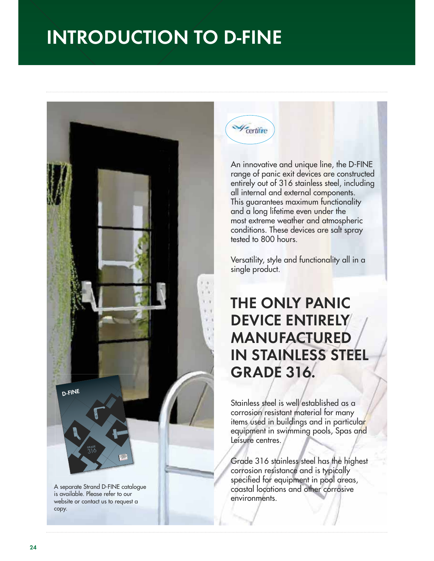

An innovative and unique line, the D-FINE range of panic exit devices are constructed entirely out of 316 stainless steel, including all internal and external components. This guarantees maximum functionality and a long lifetime even under the most extreme weather and atmospheric conditions. These devices are salt spray tested to 800 hours.

Versatility, style and functionality all in a single product.

## **THE ONLY PANIC DEVICE ENTIRELY MANUFACTURED IN STAINLESS STEEL GRADE 316.**

Stainless steel is well established as a corrosion resistant material for many items used in buildings and in particular equipment in swimming pools, Spas and Leisure centres.

Grade 316 stainless steel has the highest corrosion resistance and is typically specified for equipment in pool areas, coastal locations and other corrosive environments.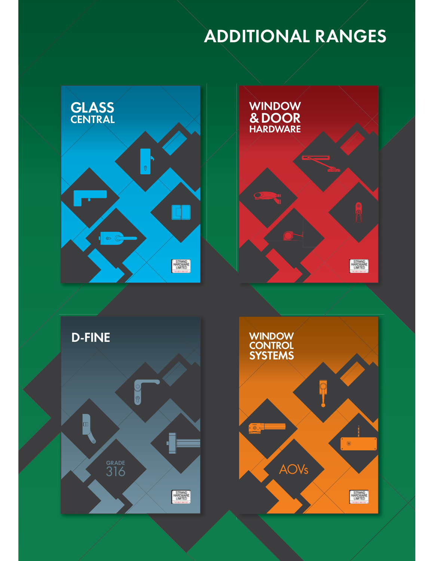# **ADDITIONAL RANGES**